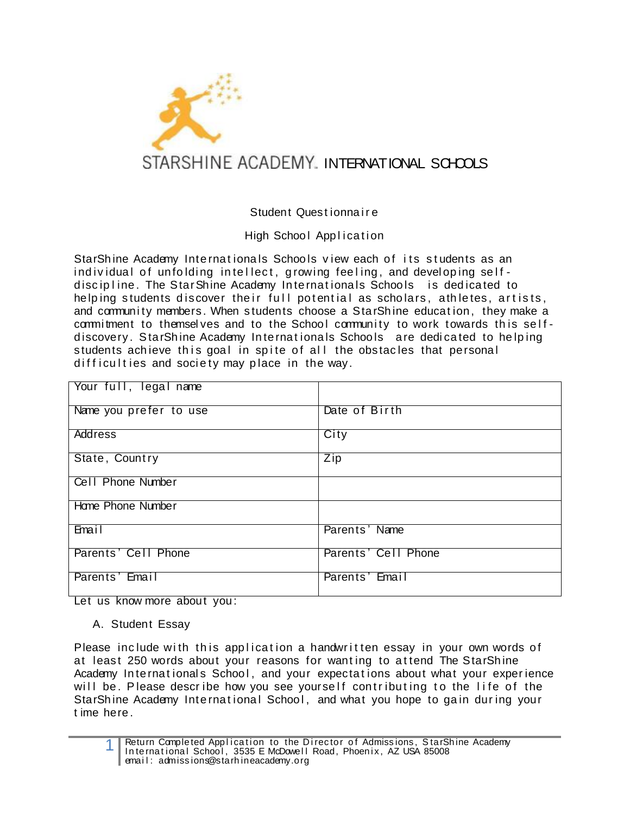

## Student Quest ionna i r e

## High School Application

StarShine Academy Internationals Schools view each of its students as an individual of unfolding intellect, growing feeling, and developing selfdiscipline. The StarShine Academy Internationals Schools is dedicated to helping students discover their full potential as scholars, athletes, artists, and community members. When students choose a StarShine education, they make a commitment to themselves and to the School community to work towards this selfdiscovery. StarShine Academy Internationals Schools are dedicated to helping students achieve this goal in spite of all the obstacles that personal difficulties and society may place in the way.

| Your full, legal name  |                     |
|------------------------|---------------------|
| Name you prefer to use | Date of Birth       |
| <b>Address</b>         | City                |
| State, Country         | Zip                 |
| Cell Phone Number      |                     |
| Home Phone Number      |                     |
| Email                  | Parents' Name       |
| Parents' Cell Phone    | Parents' Cell Phone |
| Parents' Email         | Parents' Email      |

Let us know more about you:

A. Student Essay

Please include with this application a handwritten essay in your own words of at least 250 words about your reasons for wanting to attend The StarShine Academy Internationals School, and your expectations about what your experience will be. Please describe how you see yourself contributing to the life of the StarShine Academy International School, and what you hope to gain during your t ime here .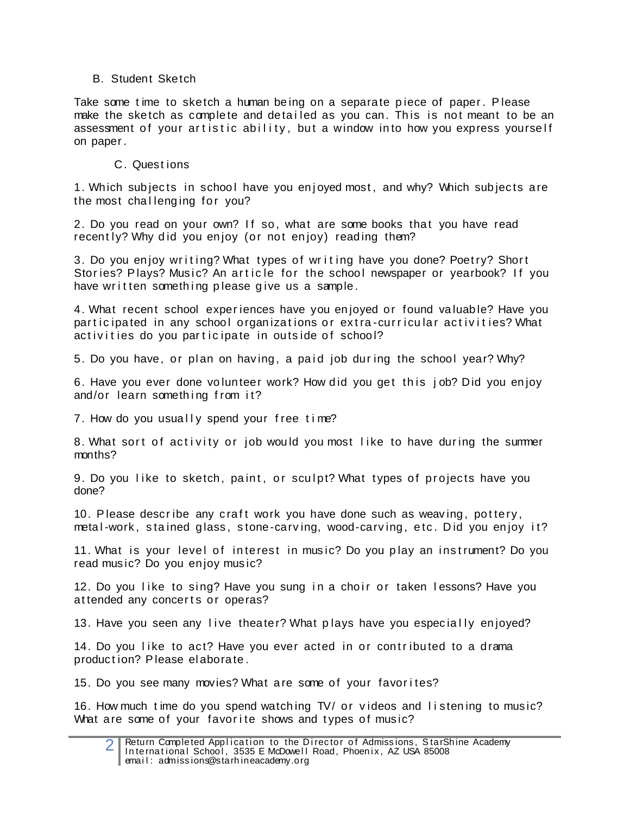## B. Student Sketch

Take some time to sketch a human being on a separate piece of paper. Please make the sketch as complete and detailed as you can. This is not meant to be an assessment of your artistic ability, but a window into how you express yourself on paper .

## C. Quest ions

1. Which subjects in school have you enjoyed most, and why? Which subjects are the most challenging for you?

2. Do you read on your own? If so, what are some books that you have read recently? Why did you enjoy (or not enjoy) reading them?

3. Do you enjoy writing? What types of writing have you done? Poetry? Short Stories? Plays? Music? An article for the school newspaper or yearbook? If you have written something please give us a sample.

4. What recent school exper iences have you en joyed or found va luab le? Have you participated in any school organizations or extra-curricular activities? What activities do you participate in outside of school?

5. Do you have, or plan on having, a paid job during the school year? Why?

6. Have you ever done volunteer work? How did you get this job? Did you enjoy and/or learn something from it?

7. How do you usually spend your free time?

8. What sort of activity or job would you most like to have during the summer months?

9. Do you like to sketch, paint, or sculpt? What types of projects have you done?

10. Please describe any craft work you have done such as weaving, pottery, metal-work, stained glass, stone-carving, wood-carving, etc. Did you enjoy it?

11. What is your level of interest in music? Do you play an instrument? Do you read mus ic? Do you en joy mus ic?

12. Do you like to sing? Have you sung in a choir or taken lessons? Have you attended any concerts or operas?

13. Have you seen any live theater? What plays have you especially enjoyed?

14. Do you like to act? Have you ever acted in or contributed to a drama production? Please elaborate.

15. Do you see many movies? What are some of your favorites?

16. How much time do you spend watching TV/ or videos and listening to music? What are some of your favorite shows and types of music?

<sup>2</sup> Return Completed Application to the Director of Admissions, StarShine Academy In te rnational School, 3535 E McDowell Road, Phoenix, AZ USA 85008 email: admissions@starhineacademy.org